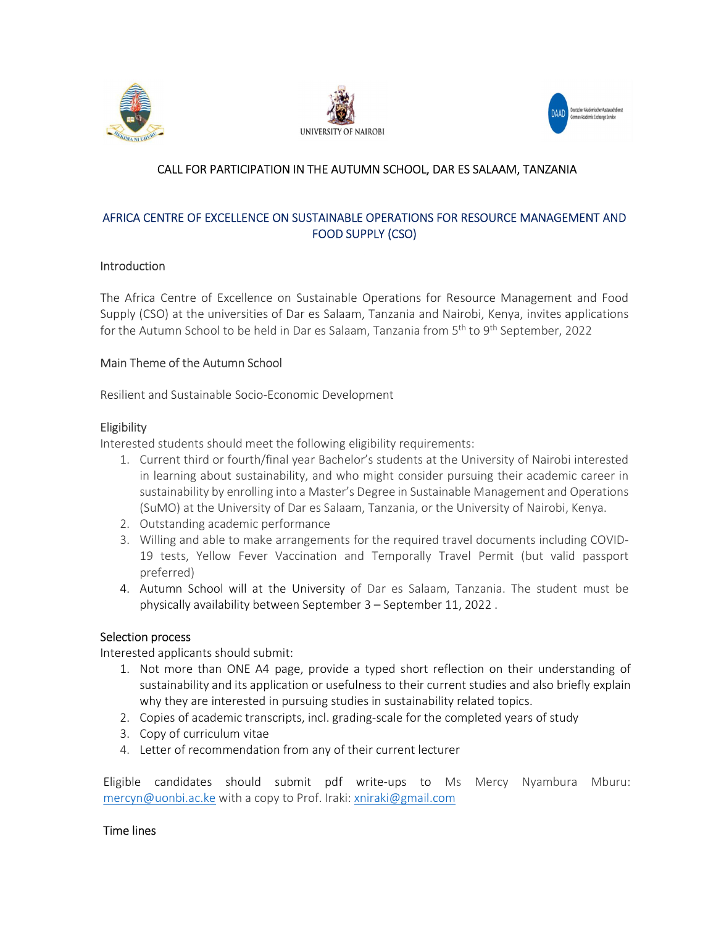





# CALL FOR PARTICIPATION IN THE AUTUMN SCHOOL, DAR ES SALAAM, TANZANIA

## AFRICA CENTRE OF EXCELLENCE ON SUSTAINABLE OPERATIONS FOR RESOURCE MANAGEMENT AND FOOD SUPPLY (CSO)

### **Introduction**

 The Africa Centre of Excellence on Sustainable Operations for Resource Management and Food Supply (CSO) at the universities of Dar es Salaam, Tanzania and Nairobi, Kenya, invites applications for the Autumn School to be held in Dar es Salaam, Tanzania from 5<sup>th</sup> to 9<sup>th</sup> September, 2022

### Main Theme of the Autumn School

Resilient and Sustainable Socio-Economic Development

### Eligibility

Interested students should meet the following eligibility requirements:

- 1. Current third or fourth/final year Bachelor's students at the University of Nairobi interested in learning about sustainability, and who might consider pursuing their academic career in sustainability by enrolling into a Master's Degree in Sustainable Management and Operations (SuMO) at the University of Dar es Salaam, Tanzania, or the University of Nairobi, Kenya.
- 2. Outstanding academic performance
- 3. Willing and able to make arrangements for the required travel documents including COVID-19 tests, Yellow Fever Vaccination and Temporally Travel Permit (but valid passport preferred)
- 4. Autumn School will at the University of Dar es Salaam, Tanzania. The student must be physically availability between September 3 – September 11, 2022 . Selection process

Interested applicants should submit:

- 1. Not more than ONE A4 page, provide a typed short reflection on their understanding of sustainability and its application or usefulness to their current studies and also briefly explain why they are interested in pursuing studies in sustainability related topics.
- 2. Copies of academic transcripts, incl. grading-scale for the completed years of study
- 3. Copy of curriculum vitae
- 4. Letter of recommendation from any of their current lecturer

Eligible candidates should submit pdf write-ups to Ms Mercy Nyambura Mburu: mercyn@uonbi.ac.ke with a copy to Prof. Iraki: xniraki@gmail.com

### Time lines